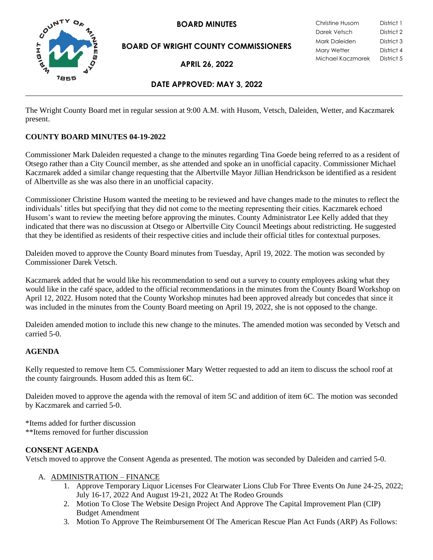

**BOARD OF WRIGHT COUNTY COMMISSIONERS**

**APRIL 26, 2022**

**BOARD MINUTES** Christine Husom District 1<br>Darek Vetsch District 2 Darek Vetsch Mark Daleiden District 3 Mary Wetter District 4 Michael Kaczmarek District 5

# **DATE APPROVED: MAY 3, 2022**

The Wright County Board met in regular session at 9:00 A.M. with Husom, Vetsch, Daleiden, Wetter, and Kaczmarek present.

## **COUNTY BOARD MINUTES 04-19-2022**

Commissioner Mark Daleiden requested a change to the minutes regarding Tina Goede being referred to as a resident of Otsego rather than a City Council member, as she attended and spoke an in unofficial capacity. Commissioner Michael Kaczmarek added a similar change requesting that the Albertville Mayor Jillian Hendrickson be identified as a resident of Albertville as she was also there in an unofficial capacity.

Commissioner Christine Husom wanted the meeting to be reviewed and have changes made to the minutes to reflect the individuals' titles but specifying that they did not come to the meeting representing their cities. Kaczmarek echoed Husom's want to review the meeting before approving the minutes. County Administrator Lee Kelly added that they indicated that there was no discussion at Otsego or Albertville City Council Meetings about redistricting. He suggested that they be identified as residents of their respective cities and include their official titles for contextual purposes.

Daleiden moved to approve the County Board minutes from Tuesday, April 19, 2022. The motion was seconded by Commissioner Darek Vetsch.

Kaczmarek added that he would like his recommendation to send out a survey to county employees asking what they would like in the café space, added to the official recommendations in the minutes from the County Board Workshop on April 12, 2022. Husom noted that the County Workshop minutes had been approved already but concedes that since it was included in the minutes from the County Board meeting on April 19, 2022, she is not opposed to the change.

Daleiden amended motion to include this new change to the minutes. The amended motion was seconded by Vetsch and carried 5-0.

## **AGENDA**

Kelly requested to remove Item C5. Commissioner Mary Wetter requested to add an item to discuss the school roof at the county fairgrounds. Husom added this as Item 6C.

Daleiden moved to approve the agenda with the removal of item 5C and addition of item 6C. The motion was seconded by Kaczmarek and carried 5-0.

\*Items added for further discussion \*\*Items removed for further discussion

### **CONSENT AGENDA**

Vetsch moved to approve the Consent Agenda as presented. The motion was seconded by Daleiden and carried 5-0.

### A. ADMINISTRATION – FINANCE

- 1. Approve Temporary Liquor Licenses For Clearwater Lions Club For Three Events On June 24-25, 2022; July 16-17, 2022 And August 19-21, 2022 At The Rodeo Grounds
- 2. Motion To Close The Website Design Project And Approve The Capital Improvement Plan (CIP) Budget Amendment
- 3. Motion To Approve The Reimbursement Of The American Rescue Plan Act Funds (ARP) As Follows: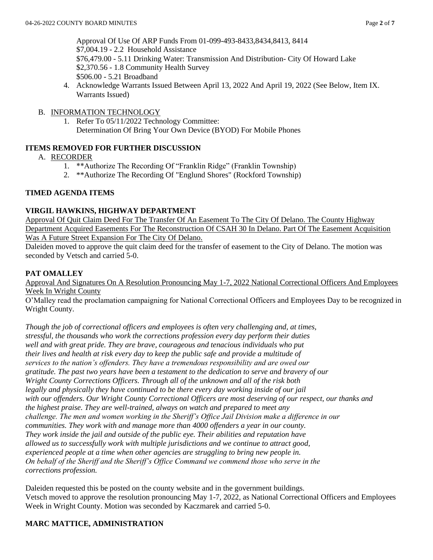Approval Of Use Of ARP Funds From 01-099-493-8433,8434,8413, 8414 \$7,004.19 - 2.2 Household Assistance \$76,479.00 - 5.11 Drinking Water: Transmission And Distribution- City Of Howard Lake \$2,370.56 - 1.8 Community Health Survey \$506.00 - 5.21 Broadband

4. Acknowledge Warrants Issued Between April 13, 2022 And April 19, 2022 (See Below, Item IX. Warrants Issued)

## B. INFORMATION TECHNOLOGY

1. Refer To 05/11/2022 Technology Committee: Determination Of Bring Your Own Device (BYOD) For Mobile Phones

# **ITEMS REMOVED FOR FURTHER DISCUSSION**

- A. RECORDER
	- 1. \*\*Authorize The Recording Of "Franklin Ridge" (Franklin Township)
	- 2. \*\*Authorize The Recording Of "Englund Shores" (Rockford Township)

## **TIMED AGENDA ITEMS**

## **VIRGIL HAWKINS, HIGHWAY DEPARTMENT**

Approval Of Quit Claim Deed For The Transfer Of An Easement To The City Of Delano. The County Highway Department Acquired Easements For The Reconstruction Of CSAH 30 In Delano. Part Of The Easement Acquisition Was A Future Street Expansion For The City Of Delano.

Daleiden moved to approve the quit claim deed for the transfer of easement to the City of Delano. The motion was seconded by Vetsch and carried 5-0.

## **PAT OMALLEY**

Approval And Signatures On A Resolution Pronouncing May 1-7, 2022 National Correctional Officers And Employees Week In Wright County

O'Malley read the proclamation campaigning for National Correctional Officers and Employees Day to be recognized in Wright County.

*Though the job of correctional officers and employees is often very challenging and, at times, stressful, the thousands who work the corrections profession every day perform their duties well and with great pride. They are brave, courageous and tenacious individuals who put their lives and health at risk every day to keep the public safe and provide a multitude of services to the nation's offenders. They have a tremendous responsibility and are owed our gratitude. The past two years have been a testament to the dedication to serve and bravery of our Wright County Corrections Officers. Through all of the unknown and all of the risk both legally and physically they have continued to be there every day working inside of our jail with our offenders. Our Wright County Correctional Officers are most deserving of our respect, our thanks and the highest praise. They are well-trained, always on watch and prepared to meet any challenge. The men and women working in the Sheriff's Office Jail Division make a difference in our communities. They work with and manage more than 4000 offenders a year in our county. They work inside the jail and outside of the public eye. Their abilities and reputation have allowed us to successfully work with multiple jurisdictions and we continue to attract good, experienced people at a time when other agencies are struggling to bring new people in. On behalf of the Sheriff and the Sheriff's Office Command we commend those who serve in the corrections profession.*

Daleiden requested this be posted on the county website and in the government buildings. Vetsch moved to approve the resolution pronouncing May 1-7, 2022, as National Correctional Officers and Employees Week in Wright County. Motion was seconded by Kaczmarek and carried 5-0.

# **MARC MATTICE, ADMINISTRATION**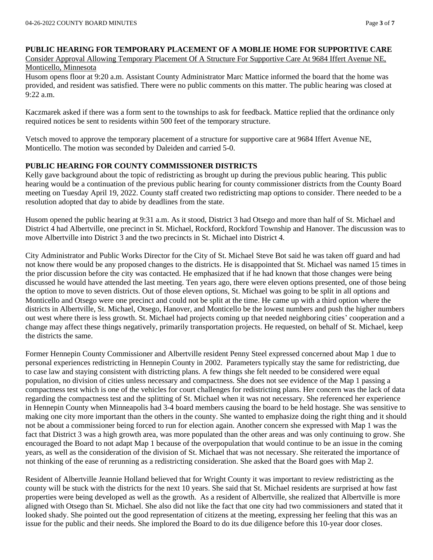#### **PUBLIC HEARING FOR TEMPORARY PLACEMENT OF A MOBLIE HOME FOR SUPPORTIVE CARE** Consider Approval Allowing Temporary Placement Of A Structure For Supportive Care At 9684 Iffert Avenue NE, Monticello, Minnesota

Husom opens floor at 9:20 a.m. Assistant County Administrator Marc Mattice informed the board that the home was provided, and resident was satisfied. There were no public comments on this matter. The public hearing was closed at 9:22 a.m.

Kaczmarek asked if there was a form sent to the townships to ask for feedback. Mattice replied that the ordinance only required notices be sent to residents within 500 feet of the temporary structure.

Vetsch moved to approve the temporary placement of a structure for supportive care at 9684 Iffert Avenue NE, Monticello. The motion was seconded by Daleiden and carried 5-0.

## **PUBLIC HEARING FOR COUNTY COMMISSIONER DISTRICTS**

Kelly gave background about the topic of redistricting as brought up during the previous public hearing. This public hearing would be a continuation of the previous public hearing for county commissioner districts from the County Board meeting on Tuesday April 19, 2022. County staff created two redistricting map options to consider. There needed to be a resolution adopted that day to abide by deadlines from the state.

Husom opened the public hearing at 9:31 a.m. As it stood, District 3 had Otsego and more than half of St. Michael and District 4 had Albertville, one precinct in St. Michael, Rockford, Rockford Township and Hanover. The discussion was to move Albertville into District 3 and the two precincts in St. Michael into District 4.

City Administrator and Public Works Director for the City of St. Michael Steve Bot said he was taken off guard and had not know there would be any proposed changes to the districts. He is disappointed that St. Michael was named 15 times in the prior discussion before the city was contacted. He emphasized that if he had known that those changes were being discussed he would have attended the last meeting. Ten years ago, there were eleven options presented, one of those being the option to move to seven districts. Out of those eleven options, St. Michael was going to be split in all options and Monticello and Otsego were one precinct and could not be split at the time. He came up with a third option where the districts in Albertville, St. Michael, Otsego, Hanover, and Monticello be the lowest numbers and push the higher numbers out west where there is less growth. St. Michael had projects coming up that needed neighboring cities' cooperation and a change may affect these things negatively, primarily transportation projects. He requested, on behalf of St. Michael, keep the districts the same.

Former Hennepin County Commissioner and Albertville resident Penny Steel expressed concerned about Map 1 due to personal experiences redistricting in Hennepin County in 2002. Parameters typically stay the same for redistricting, due to case law and staying consistent with districting plans. A few things she felt needed to be considered were equal population, no division of cities unless necessary and compactness. She does not see evidence of the Map 1 passing a compactness test which is one of the vehicles for court challenges for redistricting plans. Her concern was the lack of data regarding the compactness test and the splitting of St. Michael when it was not necessary. She referenced her experience in Hennepin County when Minneapolis had 3-4 board members causing the board to be held hostage. She was sensitive to making one city more important than the others in the county. She wanted to emphasize doing the right thing and it should not be about a commissioner being forced to run for election again. Another concern she expressed with Map 1 was the fact that District 3 was a high growth area, was more populated than the other areas and was only continuing to grow. She encouraged the Board to not adapt Map 1 because of the overpopulation that would continue to be an issue in the coming years, as well as the consideration of the division of St. Michael that was not necessary. She reiterated the importance of not thinking of the ease of rerunning as a redistricting consideration. She asked that the Board goes with Map 2.

Resident of Albertville Jeannie Holland believed that for Wright County it was important to review redistricting as the county will be stuck with the districts for the next 10 years. She said that St. Michael residents are surprised at how fast properties were being developed as well as the growth. As a resident of Albertville, she realized that Albertville is more aligned with Otsego than St. Michael. She also did not like the fact that one city had two commissioners and stated that it looked shady. She pointed out the good representation of citizens at the meeting, expressing her feeling that this was an issue for the public and their needs. She implored the Board to do its due diligence before this 10-year door closes.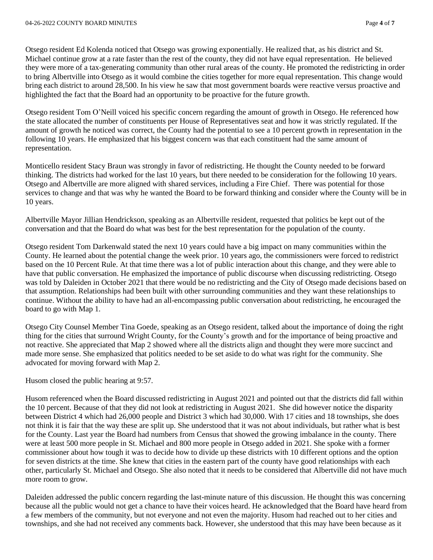Otsego resident Ed Kolenda noticed that Otsego was growing exponentially. He realized that, as his district and St. Michael continue grow at a rate faster than the rest of the county, they did not have equal representation. He believed they were more of a tax-generating community than other rural areas of the county. He promoted the redistricting in order to bring Albertville into Otsego as it would combine the cities together for more equal representation. This change would bring each district to around 28,500. In his view he saw that most government boards were reactive versus proactive and highlighted the fact that the Board had an opportunity to be proactive for the future growth.

Otsego resident Tom O'Neill voiced his specific concern regarding the amount of growth in Otsego. He referenced how the state allocated the number of constituents per House of Representatives seat and how it was strictly regulated. If the amount of growth he noticed was correct, the County had the potential to see a 10 percent growth in representation in the following 10 years. He emphasized that his biggest concern was that each constituent had the same amount of representation.

Monticello resident Stacy Braun was strongly in favor of redistricting. He thought the County needed to be forward thinking. The districts had worked for the last 10 years, but there needed to be consideration for the following 10 years. Otsego and Albertville are more aligned with shared services, including a Fire Chief. There was potential for those services to change and that was why he wanted the Board to be forward thinking and consider where the County will be in 10 years.

Albertville Mayor Jillian Hendrickson, speaking as an Albertville resident, requested that politics be kept out of the conversation and that the Board do what was best for the best representation for the population of the county.

Otsego resident Tom Darkenwald stated the next 10 years could have a big impact on many communities within the County. He learned about the potential change the week prior. 10 years ago, the commissioners were forced to redistrict based on the 10 Percent Rule. At that time there was a lot of public interaction about this change, and they were able to have that public conversation. He emphasized the importance of public discourse when discussing redistricting. Otsego was told by Daleiden in October 2021 that there would be no redistricting and the City of Otsego made decisions based on that assumption. Relationships had been built with other surrounding communities and they want these relationships to continue. Without the ability to have had an all-encompassing public conversation about redistricting, he encouraged the board to go with Map 1.

Otsego City Counsel Member Tina Goede, speaking as an Otsego resident, talked about the importance of doing the right thing for the cities that surround Wright County, for the County's growth and for the importance of being proactive and not reactive. She appreciated that Map 2 showed where all the districts align and thought they were more succinct and made more sense. She emphasized that politics needed to be set aside to do what was right for the community. She advocated for moving forward with Map 2.

### Husom closed the public hearing at 9:57.

Husom referenced when the Board discussed redistricting in August 2021 and pointed out that the districts did fall within the 10 percent. Because of that they did not look at redistricting in August 2021. She did however notice the disparity between District 4 which had 26,000 people and District 3 which had 30,000. With 17 cities and 18 townships, she does not think it is fair that the way these are split up. She understood that it was not about individuals, but rather what is best for the County. Last year the Board had numbers from Census that showed the growing imbalance in the county. There were at least 500 more people in St. Michael and 800 more people in Otsego added in 2021. She spoke with a former commissioner about how tough it was to decide how to divide up these districts with 10 different options and the option for seven districts at the time. She knew that cities in the eastern part of the county have good relationships with each other, particularly St. Michael and Otsego. She also noted that it needs to be considered that Albertville did not have much more room to grow.

Daleiden addressed the public concern regarding the last-minute nature of this discussion. He thought this was concerning because all the public would not get a chance to have their voices heard. He acknowledged that the Board have heard from a few members of the community, but not everyone and not even the majority. Husom had reached out to her cities and townships, and she had not received any comments back. However, she understood that this may have been because as it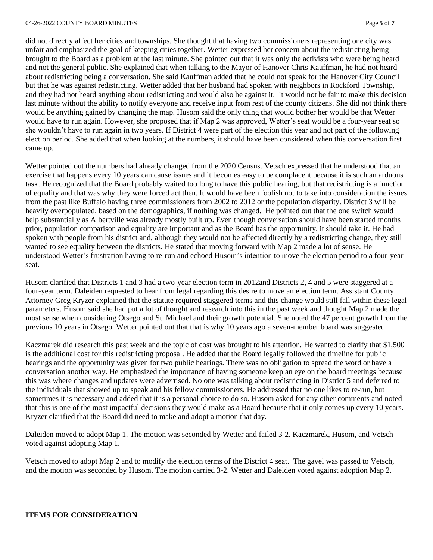#### 04-26-2022 COUNTY BOARD MINUTES Page **5** of **7**

did not directly affect her cities and townships. She thought that having two commissioners representing one city was unfair and emphasized the goal of keeping cities together. Wetter expressed her concern about the redistricting being brought to the Board as a problem at the last minute. She pointed out that it was only the activists who were being heard and not the general public. She explained that when talking to the Mayor of Hanover Chris Kauffman, he had not heard about redistricting being a conversation. She said Kauffman added that he could not speak for the Hanover City Council but that he was against redistricting. Wetter added that her husband had spoken with neighbors in Rockford Township, and they had not heard anything about redistricting and would also be against it. It would not be fair to make this decision last minute without the ability to notify everyone and receive input from rest of the county citizens. She did not think there would be anything gained by changing the map. Husom said the only thing that would bother her would be that Wetter would have to run again. However, she proposed that if Map 2 was approved, Wetter's seat would be a four-year seat so she wouldn't have to run again in two years. If District 4 were part of the election this year and not part of the following election period. She added that when looking at the numbers, it should have been considered when this conversation first came up.

Wetter pointed out the numbers had already changed from the 2020 Census. Vetsch expressed that he understood that an exercise that happens every 10 years can cause issues and it becomes easy to be complacent because it is such an arduous task. He recognized that the Board probably waited too long to have this public hearing, but that redistricting is a function of equality and that was why they were forced act then. It would have been foolish not to take into consideration the issues from the past like Buffalo having three commissioners from 2002 to 2012 or the population disparity. District 3 will be heavily overpopulated, based on the demographics, if nothing was changed. He pointed out that the one switch would help substantially as Albertville was already mostly built up. Even though conversation should have been started months prior, population comparison and equality are important and as the Board has the opportunity, it should take it. He had spoken with people from his district and, although they would not be affected directly by a redistricting change, they still wanted to see equality between the districts. He stated that moving forward with Map 2 made a lot of sense. He understood Wetter's frustration having to re-run and echoed Husom's intention to move the election period to a four-year seat.

Husom clarified that Districts 1 and 3 had a two-year election term in 2012and Districts 2, 4 and 5 were staggered at a four-year term. Daleiden requested to hear from legal regarding this desire to move an election term. Assistant County Attorney Greg Kryzer explained that the statute required staggered terms and this change would still fall within these legal parameters. Husom said she had put a lot of thought and research into this in the past week and thought Map 2 made the most sense when considering Otsego and St. Michael and their growth potential. She noted the 47 percent growth from the previous 10 years in Otsego. Wetter pointed out that that is why 10 years ago a seven-member board was suggested.

Kaczmarek did research this past week and the topic of cost was brought to his attention. He wanted to clarify that \$1,500 is the additional cost for this redistricting proposal. He added that the Board legally followed the timeline for public hearings and the opportunity was given for two public hearings. There was no obligation to spread the word or have a conversation another way. He emphasized the importance of having someone keep an eye on the board meetings because this was where changes and updates were advertised. No one was talking about redistricting in District 5 and deferred to the individuals that showed up to speak and his fellow commissioners. He addressed that no one likes to re-run, but sometimes it is necessary and added that it is a personal choice to do so. Husom asked for any other comments and noted that this is one of the most impactful decisions they would make as a Board because that it only comes up every 10 years. Kryzer clarified that the Board did need to make and adopt a motion that day.

Daleiden moved to adopt Map 1. The motion was seconded by Wetter and failed 3-2. Kaczmarek, Husom, and Vetsch voted against adopting Map 1.

Vetsch moved to adopt Map 2 and to modify the election terms of the District 4 seat. The gavel was passed to Vetsch, and the motion was seconded by Husom. The motion carried 3-2. Wetter and Daleiden voted against adoption Map 2.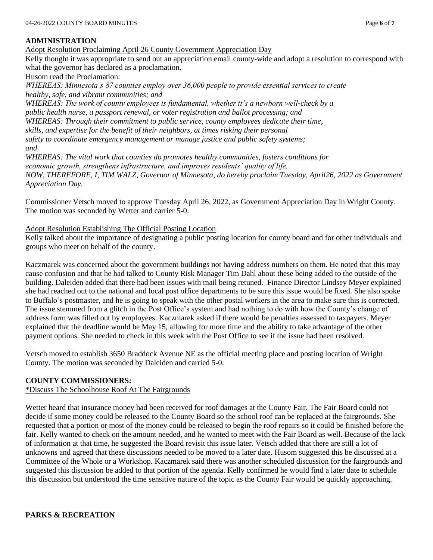## **ADMINISTRATION**

Adopt Resolution Proclaiming April 26 County Government Appreciation Day Kelly thought it was appropriate to send out an appreciation email county-wide and adopt a resolution to correspond with what the governor has declared as a proclamation.

Husom read the Proclamation:

*WHEREAS: Minnesota's 87 counties employ over 36,000 people to provide essential services to create healthy, safe, and vibrant communities; and*

*WHEREAS: The work of county employees is fundamental, whether it's a newborn well-check by a public health nurse, a passport renewal, or voter registration and ballot processing; and WHEREAS: Through their commitment to public service, county employees dedicate their time, skills, and expertise for the benefit of their neighbors, at times risking their personal safety to coordinate emergency management or manage justice and public safety systems; and WHEREAS: The vital work that counties do promotes healthy communities, fosters conditions for*

*economic growth, strengthens infrastructure, and improves residents' quality of life. NOW, THEREFORE, I, TIM WALZ, Governor of Minnesota, do hereby proclaim Tuesday, April26, 2022 as Government Appreciation Day.*

Commissioner Vetsch moved to approve Tuesday April 26, 2022, as Government Appreciation Day in Wright County. The motion was seconded by Wetter and carrier 5-0.

Adopt Resolution Establishing The Official Posting Location

Kelly talked about the importance of designating a public posting location for county board and for other individuals and groups who meet on behalf of the county.

Kaczmarek was concerned about the government buildings not having address numbers on them. He noted that this may cause confusion and that he had talked to County Risk Manager Tim Dahl about these being added to the outside of the building. Daleiden added that there had been issues with mail being retuned. Finance Director Lindsey Meyer explained she had reached out to the national and local post office departments to be sure this issue would be fixed. She also spoke to Buffalo's postmaster, and he is going to speak with the other postal workers in the area to make sure this is corrected. The issue stemmed from a glitch in the Post Office's system and had nothing to do with how the County's change of address form was filled out by employees. Kaczmarek asked if there would be penalties assessed to taxpayers. Meyer explained that the deadline would be May 15, allowing for more time and the ability to take advantage of the other payment options. She needed to check in this week with the Post Office to see if the issue had been resolved.

Vetsch moved to establish 3650 Braddock Avenue NE as the official meeting place and posting location of Wright County. The motion was seconded by Daleiden and carried 5-0.

# **COUNTY COMMISSIONERS:**

### \*Discuss The Schoolhouse Roof At The Fairgrounds

Wetter heard that insurance money had been received for roof damages at the County Fair. The Fair Board could not decide if some money could be released to the County Board so the school roof can be replaced at the fairgrounds. She requested that a portion or most of the money could be released to begin the roof repairs so it could be finished before the fair. Kelly wanted to check on the amount needed, and he wanted to meet with the Fair Board as well. Because of the lack of information at that time, he suggested the Board revisit this issue later. Vetsch added that there are still a lot of unknowns and agreed that these discussions needed to be moved to a later date. Husom suggested this be discussed at a Committee of the Whole or a Workshop. Kaczmarek said there was another scheduled discussion for the fairgrounds and suggested this discussion be added to that portion of the agenda. Kelly confirmed he would find a later date to schedule this discussion but understood the time sensitive nature of the topic as the County Fair would be quickly approaching.